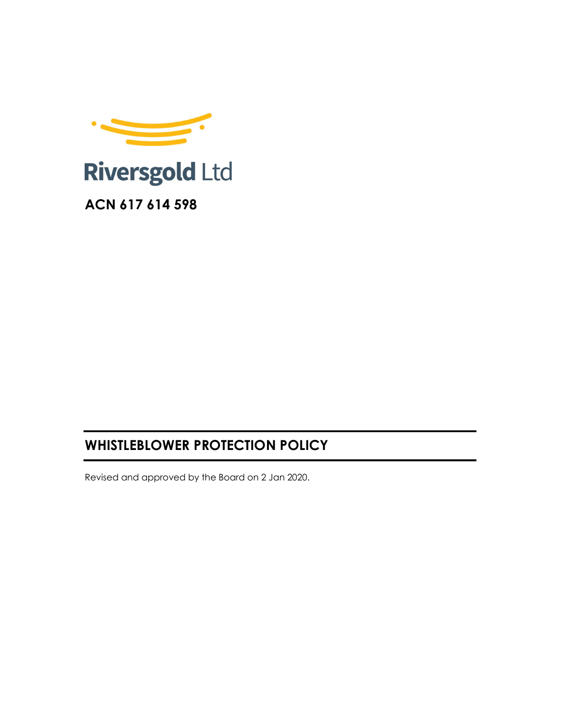

# WHISTLEBLOWER PROTECTION POLICY

Revised and approved by the Board on 2 Jan 2020.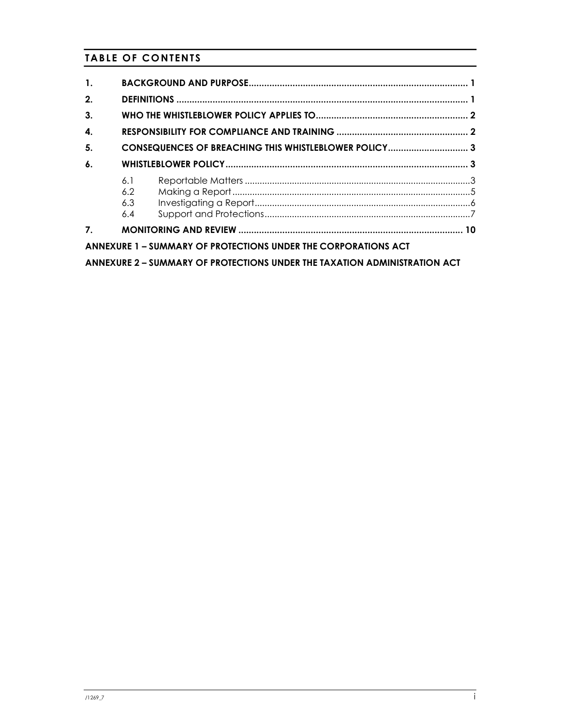# TABLE OF CONTENTS

| $\mathbf{1}$ .     |                                                                           |
|--------------------|---------------------------------------------------------------------------|
| 2.                 |                                                                           |
| 3.                 |                                                                           |
| 4.                 |                                                                           |
| 5.                 | CONSEQUENCES OF BREACHING THIS WHISTLEBLOWER POLICY 3                     |
| $\boldsymbol{6}$ . |                                                                           |
|                    | 6.1<br>6.2<br>6.3<br>6.4                                                  |
| 7.                 |                                                                           |
|                    | <b>ANNEXURE 1 – SUMMARY OF PROTECTIONS UNDER THE CORPORATIONS ACT</b>     |
|                    | ANNEXURE 2 - SUMMARY OF PROTECTIONS UNDER THE TAXATION ADMINISTRATION ACT |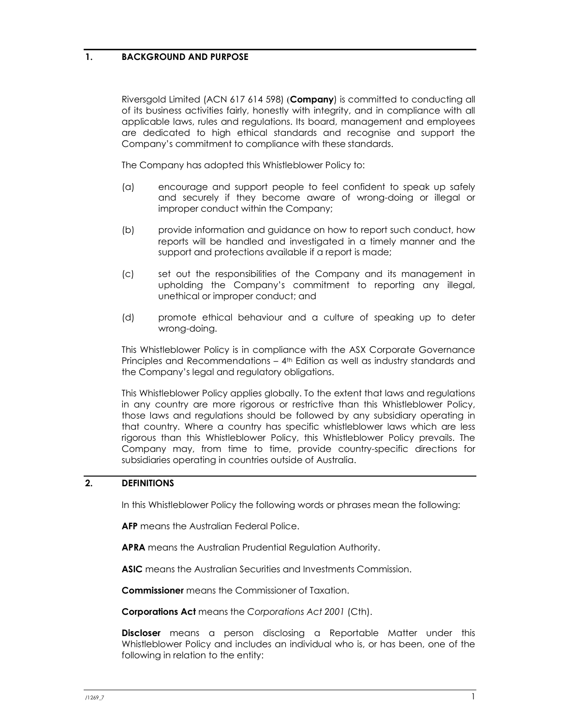## 1. BACKGROUND AND PURPOSE

Riversgold Limited (ACN 617 614 598) (Company) is committed to conducting all of its business activities fairly, honestly with integrity, and in compliance with all applicable laws, rules and regulations. Its board, management and employees are dedicated to high ethical standards and recognise and support the Company's commitment to compliance with these standards.

The Company has adopted this Whistleblower Policy to:

- (a) encourage and support people to feel confident to speak up safely and securely if they become aware of wrong-doing or illegal or improper conduct within the Company;
- (b) provide information and guidance on how to report such conduct, how reports will be handled and investigated in a timely manner and the support and protections available if a report is made;
- (c) set out the responsibilities of the Company and its management in upholding the Company's commitment to reporting any illegal, unethical or improper conduct; and
- (d) promote ethical behaviour and a culture of speaking up to deter wrong-doing.

This Whistleblower Policy is in compliance with the ASX Corporate Governance Principles and Recommendations – 4th Edition as well as industry standards and the Company's legal and regulatory obligations.

This Whistleblower Policy applies globally. To the extent that laws and regulations in any country are more rigorous or restrictive than this Whistleblower Policy, those laws and regulations should be followed by any subsidiary operating in that country. Where a country has specific whistleblower laws which are less rigorous than this Whistleblower Policy, this Whistleblower Policy prevails. The Company may, from time to time, provide country-specific directions for subsidiaries operating in countries outside of Australia.

## 2. DEFINITIONS

In this Whistleblower Policy the following words or phrases mean the following:

**AFP** means the Australian Federal Police.

APRA means the Australian Prudential Regulation Authority.

ASIC means the Australian Securities and Investments Commission.

Commissioner means the Commissioner of Taxation.

Corporations Act means the Corporations Act 2001 (Cth).

**Discloser** means a person disclosing a Reportable Matter under this Whistleblower Policy and includes an individual who is, or has been, one of the following in relation to the entity: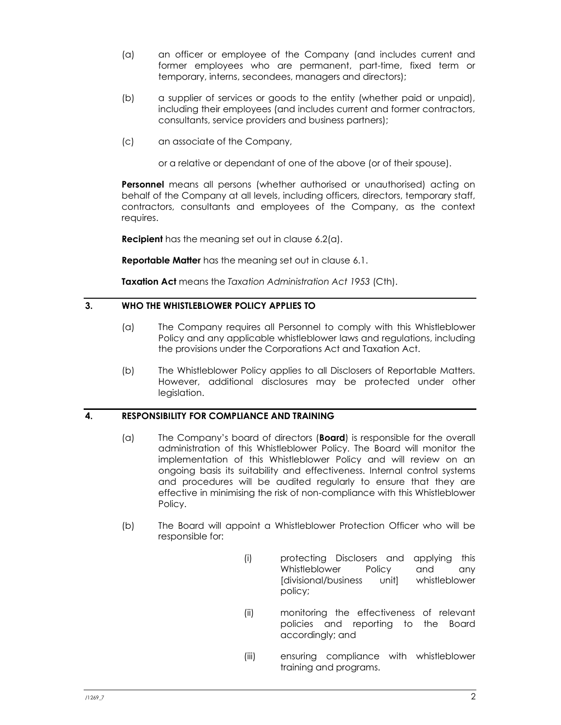- (a) an officer or employee of the Company (and includes current and former employees who are permanent, part-time, fixed term or temporary, interns, secondees, managers and directors);
- (b) a supplier of services or goods to the entity (whether paid or unpaid), including their employees (and includes current and former contractors, consultants, service providers and business partners);
- (c) an associate of the Company,

or a relative or dependant of one of the above (or of their spouse).

Personnel means all persons (whether authorised or unauthorised) acting on behalf of the Company at all levels, including officers, directors, temporary staff, contractors, consultants and employees of the Company, as the context requires.

**Recipient** has the meaning set out in clause 6.2(a).

**Reportable Matter** has the meaning set out in clause 6.1.

Taxation Act means the Taxation Administration Act 1953 (Cth).

## 3. WHO THE WHISTLEBLOWER POLICY APPLIES TO

- (a) The Company requires all Personnel to comply with this Whistleblower Policy and any applicable whistleblower laws and regulations, including the provisions under the Corporations Act and Taxation Act.
- (b) The Whistleblower Policy applies to all Disclosers of Reportable Matters. However, additional disclosures may be protected under other legislation.

## 4. RESPONSIBILITY FOR COMPLIANCE AND TRAINING

- (a) The Company's board of directors (**Board**) is responsible for the overall administration of this Whistleblower Policy. The Board will monitor the implementation of this Whistleblower Policy and will review on an ongoing basis its suitability and effectiveness. Internal control systems and procedures will be audited regularly to ensure that they are effective in minimising the risk of non-compliance with this Whistleblower Policy.
- (b) The Board will appoint a Whistleblower Protection Officer who will be responsible for:
	- (i) protecting Disclosers and applying this Whistleblower Policy and any [divisional/business unit] whistleblower policy;
	- (ii) monitoring the effectiveness of relevant policies and reporting to the Board accordingly; and
	- (iii) ensuring compliance with whistleblower training and programs.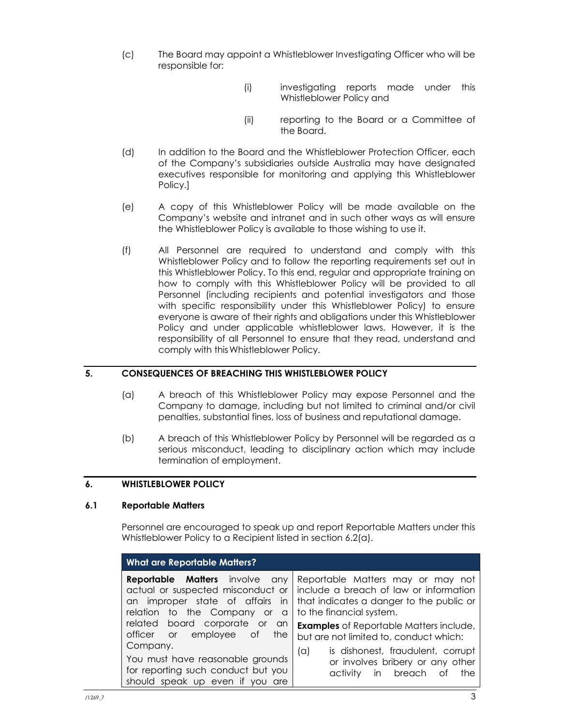- (c) The Board may appoint a Whistleblower Investigating Officer who will be responsible for:
	- (i) investigating reports made under this Whistleblower Policy and
	- (ii) reporting to the Board or a Committee of the Board.
- (d) In addition to the Board and the Whistleblower Protection Officer, each of the Company's subsidiaries outside Australia may have designated executives responsible for monitoring and applying this Whistleblower Policy.]
- (e) A copy of this Whistleblower Policy will be made available on the Company's website and intranet and in such other ways as will ensure the Whistleblower Policy is available to those wishing to use it.
- (f) All Personnel are required to understand and comply with this Whistleblower Policy and to follow the reporting requirements set out in this Whistleblower Policy. To this end, regular and appropriate training on how to comply with this Whistleblower Policy will be provided to all Personnel (including recipients and potential investigators and those with specific responsibility under this Whistleblower Policy) to ensure everyone is aware of their rights and obligations under this Whistleblower Policy and under applicable whistleblower laws. However, it is the responsibility of all Personnel to ensure that they read, understand and comply with this Whistleblower Policy.

## 5. CONSEQUENCES OF BREACHING THIS WHISTLEBLOWER POLICY

- (a) A breach of this Whistleblower Policy may expose Personnel and the Company to damage, including but not limited to criminal and/or civil penalties, substantial fines, loss of business and reputational damage.
- (b) A breach of this Whistleblower Policy by Personnel will be regarded as a serious misconduct, leading to disciplinary action which may include termination of employment.

## 6. WHISTLEBLOWER POLICY

## 6.1 Reportable Matters

Personnel are encouraged to speak up and report Reportable Matters under this Whistleblower Policy to a Recipient listed in section 6.2(a).

| <b>What are Reportable Matters?</b>                                                                                                                    |                                                                                                                                                     |  |  |
|--------------------------------------------------------------------------------------------------------------------------------------------------------|-----------------------------------------------------------------------------------------------------------------------------------------------------|--|--|
| <b>Reportable Matters</b> involve any<br>actual or suspected misconduct or<br>an improper state of affairs<br>in<br>relation to the Company<br>or<br>a | Reportable Matters may or may not<br>include a breach of law or information<br>that indicates a danger to the public or<br>to the financial system. |  |  |
| board corporate or<br>related<br>an<br>officer or<br>employee of<br>the<br>Company.                                                                    | <b>Examples</b> of Reportable Matters include,<br>but are not limited to, conduct which:                                                            |  |  |
| You must have reasonable grounds<br>for reporting such conduct but you<br>should speak up even if you are                                              | is dishonest, fraudulent, corrupt<br>$(\alpha)$<br>or involves bribery or any other<br>in breach<br>activity<br>the<br>оt                           |  |  |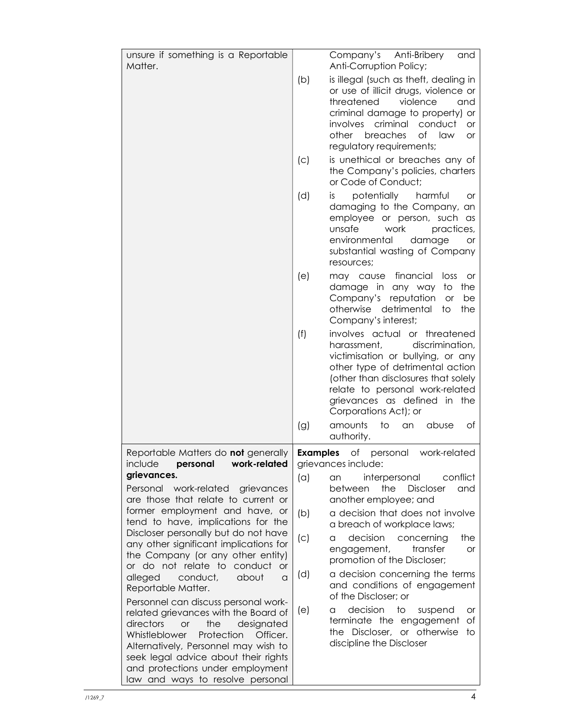| unsure if something is a Reportable                                                                                                                                                                                                                                             |                     | Company's Anti-Bribery<br>and                                                                                                                                                                                                                                                                                     |  |
|---------------------------------------------------------------------------------------------------------------------------------------------------------------------------------------------------------------------------------------------------------------------------------|---------------------|-------------------------------------------------------------------------------------------------------------------------------------------------------------------------------------------------------------------------------------------------------------------------------------------------------------------|--|
| Matter.                                                                                                                                                                                                                                                                         |                     | Anti-Corruption Policy;                                                                                                                                                                                                                                                                                           |  |
|                                                                                                                                                                                                                                                                                 | (b)                 | is illegal (such as theft, dealing in<br>or use of illicit drugs, violence or<br>threatened<br>violence<br>and<br>criminal damage to property) or<br>criminal<br>conduct<br><i>involves</i><br>or<br>breaches<br>other<br>of law<br><b>or</b><br>regulatory requirements;                                         |  |
|                                                                                                                                                                                                                                                                                 | (c)                 | is unethical or breaches any of<br>the Company's policies, charters<br>or Code of Conduct;                                                                                                                                                                                                                        |  |
|                                                                                                                                                                                                                                                                                 | (d)                 | potentially<br>harmful<br>IS.<br><b>or</b><br>damaging to the Company, an<br>employee or person, such as<br>unsafe<br>work<br>practices,<br>environmental<br>damage<br>or<br>substantial wasting of Company<br>resources;                                                                                         |  |
|                                                                                                                                                                                                                                                                                 | (e)                 | financial<br>may cause<br>loss<br>or<br>damage in any way<br>to<br>the<br>Company's reputation<br>be<br><b>or</b><br>otherwise detrimental<br>to<br>the<br>Company's interest;                                                                                                                                    |  |
|                                                                                                                                                                                                                                                                                 | (f)<br>(g)          | involves actual or threatened<br>discrimination,<br>harassment,<br>victimisation or bullying, or any<br>other type of detrimental action<br>(other than disclosures that solely<br>relate to personal work-related<br>grievances as defined in the<br>Corporations Act); or<br>amounts<br>to<br>abuse<br>an<br>ot |  |
| Reportable Matters do not generally   Examples                                                                                                                                                                                                                                  |                     | authority.<br>Оf<br>work-related<br>personal                                                                                                                                                                                                                                                                      |  |
| work-related<br>include<br>personal                                                                                                                                                                                                                                             | grievances include: |                                                                                                                                                                                                                                                                                                                   |  |
| grievances.<br>Personal<br>work-related grievances<br>are those that relate to current or                                                                                                                                                                                       | (a)                 | interpersonal<br>conflict<br>an<br>the<br>Discloser<br>between<br>and<br>another employee; and                                                                                                                                                                                                                    |  |
| former employment and have, or<br>tend to have, implications for the                                                                                                                                                                                                            | (b)                 | a decision that does not involve<br>a breach of workplace laws;                                                                                                                                                                                                                                                   |  |
| Discloser personally but do not have<br>any other significant implications for<br>the Company (or any other entity)<br>or do not relate to conduct<br><b>or</b>                                                                                                                 | (C)                 | decision<br>the<br>concerning<br>a<br>transfer<br>engagement,<br><b>or</b><br>promotion of the Discloser;                                                                                                                                                                                                         |  |
| alleged<br>conduct,<br>about<br>a<br>Reportable Matter.<br>Personnel can discuss personal work-                                                                                                                                                                                 | (d)                 | a decision concerning the terms<br>and conditions of engagement<br>of the Discloser; or                                                                                                                                                                                                                           |  |
| related grievances with the Board of<br>directors<br>the<br>designated<br>or<br>Whistleblower<br>Protection<br>Officer.<br>Alternatively, Personnel may wish to<br>seek legal advice about their rights<br>and protections under employment<br>law and ways to resolve personal | (e)                 | decision<br>to<br>suspend<br>a<br>or<br>terminate the engagement<br>of<br>the Discloser, or otherwise<br>to<br>discipline the Discloser                                                                                                                                                                           |  |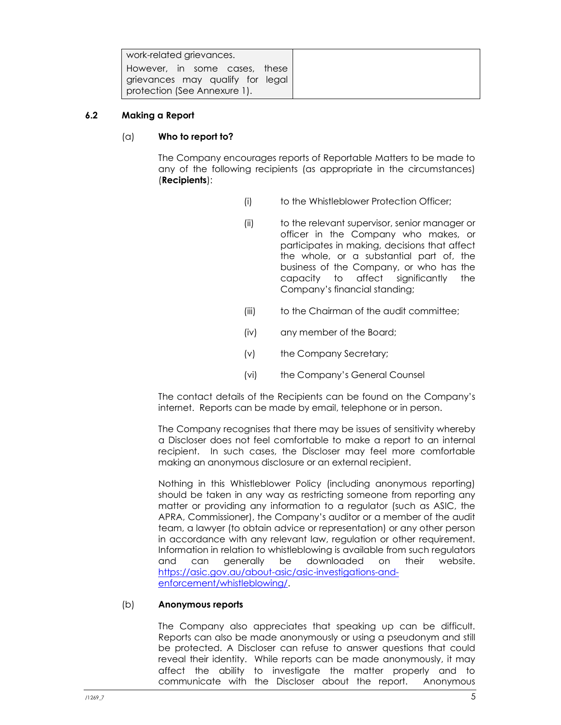| work-related grievances.                                                                          |
|---------------------------------------------------------------------------------------------------|
| However, in some cases, these<br>grievances may qualify for legal<br>protection (See Annexure 1). |

## 6.2 Making a Report

## (a) Who to report to?

The Company encourages reports of Reportable Matters to be made to any of the following recipients (as appropriate in the circumstances) (Recipients):

- (i) to the Whistleblower Protection Officer;
- (ii) to the relevant supervisor, senior manager or officer in the Company who makes, or participates in making, decisions that affect the whole, or a substantial part of, the business of the Company, or who has the capacity to affect significantly the Company's financial standing;
- (iii) to the Chairman of the audit committee;
- (iv) any member of the Board;
- (v) the Company Secretary;
- (vi) the Company's General Counsel

The contact details of the Recipients can be found on the Company's internet. Reports can be made by email, telephone or in person.

The Company recognises that there may be issues of sensitivity whereby a Discloser does not feel comfortable to make a report to an internal recipient. In such cases, the Discloser may feel more comfortable making an anonymous disclosure or an external recipient.

Nothing in this Whistleblower Policy (including anonymous reporting) should be taken in any way as restricting someone from reporting any matter or providing any information to a regulator (such as ASIC, the APRA, Commissioner), the Company's auditor or a member of the audit team, a lawyer (to obtain advice or representation) or any other person in accordance with any relevant law, regulation or other requirement. Information in relation to whistleblowing is available from such regulators and can generally be downloaded on their website. https://asic.gov.au/about-asic/asic-investigations-andenforcement/whistleblowing/.

## (b) Anonymous reports

The Company also appreciates that speaking up can be difficult. Reports can also be made anonymously or using a pseudonym and still be protected. A Discloser can refuse to answer questions that could reveal their identity. While reports can be made anonymously, it may affect the ability to investigate the matter properly and to communicate with the Discloser about the report. Anonymous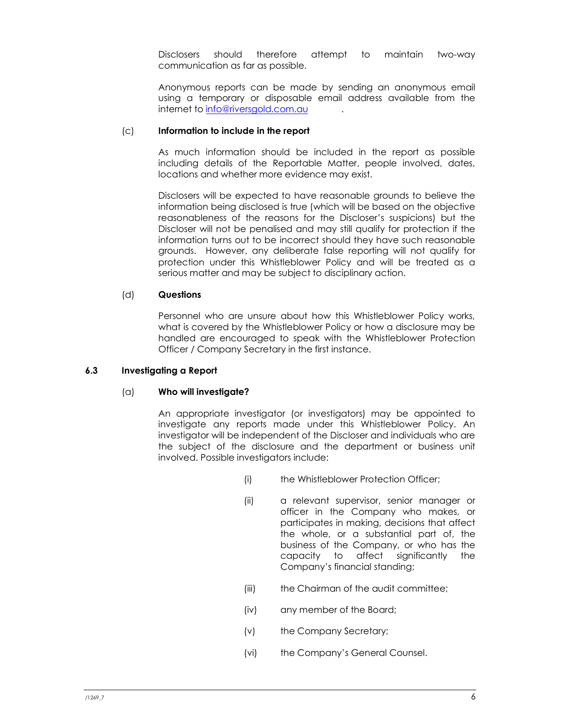Disclosers should therefore attempt to maintain two-way communication as far as possible.

Anonymous reports can be made by sending an anonymous email using a temporary or disposable email address available from the internet to info@riversgold.com.au

#### (c) Information to include in the report

As much information should be included in the report as possible including details of the Reportable Matter, people involved, dates, locations and whether more evidence may exist.

Disclosers will be expected to have reasonable grounds to believe the information being disclosed is true (which will be based on the objective reasonableness of the reasons for the Discloser's suspicions) but the Discloser will not be penalised and may still qualify for protection if the information turns out to be incorrect should they have such reasonable grounds. However, any deliberate false reporting will not qualify for protection under this Whistleblower Policy and will be treated as a serious matter and may be subject to disciplinary action.

#### (d) Questions

Personnel who are unsure about how this Whistleblower Policy works, what is covered by the Whistleblower Policy or how a disclosure may be handled are encouraged to speak with the Whistleblower Protection Officer / Company Secretary in the first instance.

#### 6.3 Investigating a Report

#### $(a)$  Who will investigate?

An appropriate investigator (or investigators) may be appointed to investigate any reports made under this Whistleblower Policy. An investigator will be independent of the Discloser and individuals who are the subject of the disclosure and the department or business unit involved. Possible investigators include:

- (i) the Whistleblower Protection Officer;
- (ii) a relevant supervisor, senior manager or officer in the Company who makes, or participates in making, decisions that affect the whole, or a substantial part of, the business of the Company, or who has the capacity to affect significantly the Company's financial standing;
- (iii) the Chairman of the audit committee;
- (iv) any member of the Board;
- (v) the Company Secretary;
- (vi) the Company's General Counsel.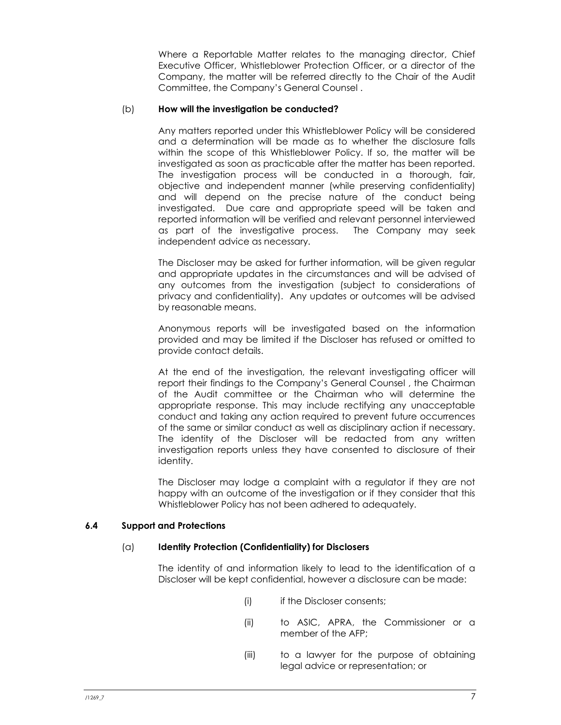Where a Reportable Matter relates to the managing director, Chief Executive Officer, Whistleblower Protection Officer, or a director of the Company, the matter will be referred directly to the Chair of the Audit Committee, the Company's General Counsel .

#### (b) How will the investigation be conducted?

Any matters reported under this Whistleblower Policy will be considered and a determination will be made as to whether the disclosure falls within the scope of this Whistleblower Policy. If so, the matter will be investigated as soon as practicable after the matter has been reported. The investigation process will be conducted in a thorough, fair, objective and independent manner (while preserving confidentiality) and will depend on the precise nature of the conduct being investigated. Due care and appropriate speed will be taken and reported information will be verified and relevant personnel interviewed as part of the investigative process. The Company may seek independent advice as necessary.

The Discloser may be asked for further information, will be given regular and appropriate updates in the circumstances and will be advised of any outcomes from the investigation (subject to considerations of privacy and confidentiality). Any updates or outcomes will be advised by reasonable means.

Anonymous reports will be investigated based on the information provided and may be limited if the Discloser has refused or omitted to provide contact details.

At the end of the investigation, the relevant investigating officer will report their findings to the Company's General Counsel , the Chairman of the Audit committee or the Chairman who will determine the appropriate response. This may include rectifying any unacceptable conduct and taking any action required to prevent future occurrences of the same or similar conduct as well as disciplinary action if necessary. The identity of the Discloser will be redacted from any written investigation reports unless they have consented to disclosure of their identity.

The Discloser may lodge a complaint with a regulator if they are not happy with an outcome of the investigation or if they consider that this Whistleblower Policy has not been adhered to adequately.

## 6.4 Support and Protections

#### (a) Identity Protection (Confidentiality) for Disclosers

The identity of and information likely to lead to the identification of a Discloser will be kept confidential, however a disclosure can be made:

- (i) if the Discloser consents;
- (ii) to ASIC, APRA, the Commissioner or a member of the AFP;
- (iii) to a lawyer for the purpose of obtaining legal advice or representation; or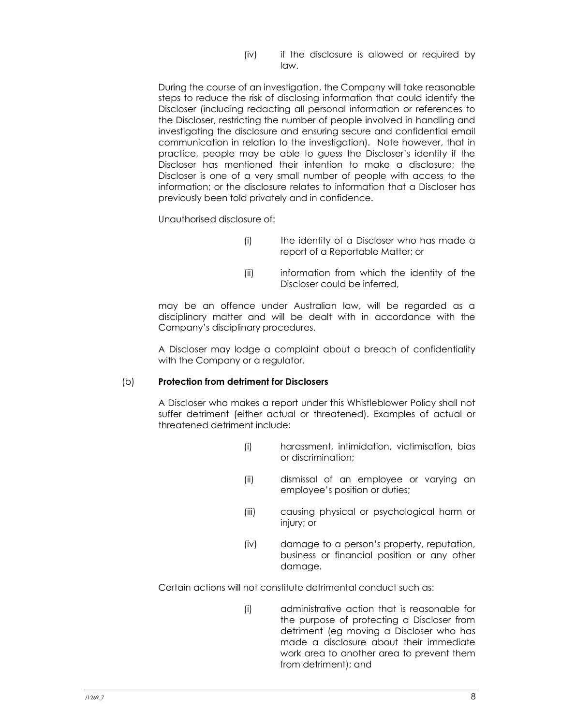(iv) if the disclosure is allowed or required by law.

During the course of an investigation, the Company will take reasonable steps to reduce the risk of disclosing information that could identify the Discloser (including redacting all personal information or references to the Discloser, restricting the number of people involved in handling and investigating the disclosure and ensuring secure and confidential email communication in relation to the investigation). Note however, that in practice, people may be able to guess the Discloser's identity if the Discloser has mentioned their intention to make a disclosure; the Discloser is one of a very small number of people with access to the information; or the disclosure relates to information that a Discloser has previously been told privately and in confidence.

Unauthorised disclosure of:

- (i) the identity of a Discloser who has made a report of a Reportable Matter; or
- (ii) information from which the identity of the Discloser could be inferred,

may be an offence under Australian law, will be regarded as a disciplinary matter and will be dealt with in accordance with the Company's disciplinary procedures.

A Discloser may lodge a complaint about a breach of confidentiality with the Company or a regulator.

#### (b) Protection from detriment for Disclosers

A Discloser who makes a report under this Whistleblower Policy shall not suffer detriment (either actual or threatened). Examples of actual or threatened detriment include:

- (i) harassment, intimidation, victimisation, bias or discrimination;
- (ii) dismissal of an employee or varying an employee's position or duties;
- (iii) causing physical or psychological harm or injury; or
- (iv) damage to a person's property, reputation, business or financial position or any other damage.

Certain actions will not constitute detrimental conduct such as:

(i) administrative action that is reasonable for the purpose of protecting a Discloser from detriment (eg moving a Discloser who has made a disclosure about their immediate work area to another area to prevent them from detriment); and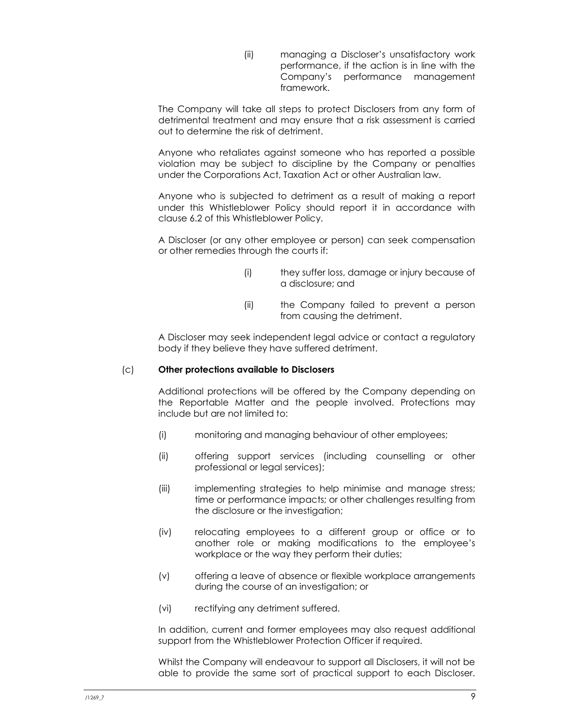(ii) managing a Discloser's unsatisfactory work performance, if the action is in line with the Company's performance management framework.

The Company will take all steps to protect Disclosers from any form of detrimental treatment and may ensure that a risk assessment is carried out to determine the risk of detriment.

Anyone who retaliates against someone who has reported a possible violation may be subject to discipline by the Company or penalties under the Corporations Act, Taxation Act or other Australian law.

Anyone who is subjected to detriment as a result of making a report under this Whistleblower Policy should report it in accordance with clause 6.2 of this Whistleblower Policy.

A Discloser (or any other employee or person) can seek compensation or other remedies through the courts if:

- (i) they suffer loss, damage or injury because of a disclosure; and
- (ii) the Company failed to prevent a person from causing the detriment.

A Discloser may seek independent legal advice or contact a regulatory body if they believe they have suffered detriment.

## (c) Other protections available to Disclosers

Additional protections will be offered by the Company depending on the Reportable Matter and the people involved. Protections may include but are not limited to:

- (i) monitoring and managing behaviour of other employees;
- (ii) offering support services (including counselling or other professional or legal services);
- (iii) implementing strategies to help minimise and manage stress; time or performance impacts; or other challenges resulting from the disclosure or the investigation;
- (iv) relocating employees to a different group or office or to another role or making modifications to the employee's workplace or the way they perform their duties;
- (v) offering a leave of absence or flexible workplace arrangements during the course of an investigation; or
- (vi) rectifying any detriment suffered.

In addition, current and former employees may also request additional support from the Whistleblower Protection Officer if required.

Whilst the Company will endeavour to support all Disclosers, it will not be able to provide the same sort of practical support to each Discloser.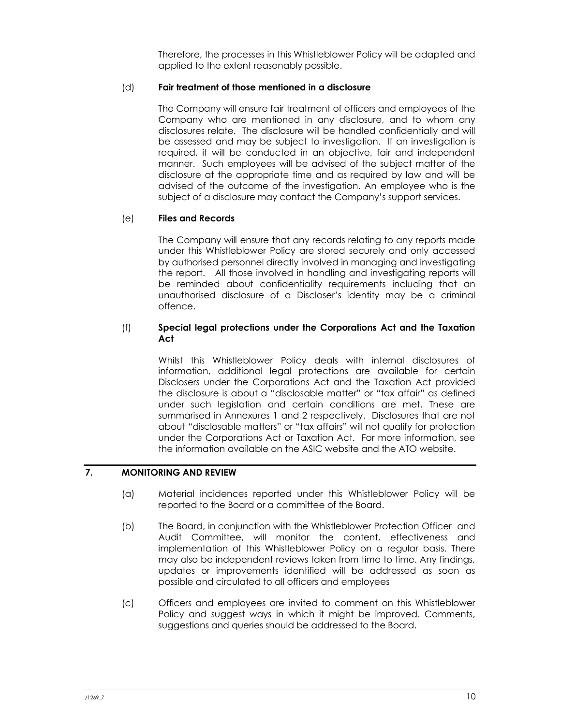Therefore, the processes in this Whistleblower Policy will be adapted and applied to the extent reasonably possible.

## (d) Fair treatment of those mentioned in a disclosure

The Company will ensure fair treatment of officers and employees of the Company who are mentioned in any disclosure, and to whom any disclosures relate. The disclosure will be handled confidentially and will be assessed and may be subject to investigation. If an investigation is required, it will be conducted in an objective, fair and independent manner. Such employees will be advised of the subject matter of the disclosure at the appropriate time and as required by law and will be advised of the outcome of the investigation. An employee who is the subject of a disclosure may contact the Company's support services.

## (e) Files and Records

The Company will ensure that any records relating to any reports made under this Whistleblower Policy are stored securely and only accessed by authorised personnel directly involved in managing and investigating the report. All those involved in handling and investigating reports will be reminded about confidentiality requirements including that an unauthorised disclosure of a Discloser's identity may be a criminal offence.

## (f) Special legal protections under the Corporations Act and the Taxation Act

Whilst this Whistleblower Policy deals with internal disclosures of information, additional legal protections are available for certain Disclosers under the Corporations Act and the Taxation Act provided the disclosure is about a "disclosable matter" or "tax affair" as defined under such legislation and certain conditions are met. These are summarised in Annexures 1 and 2 respectively. Disclosures that are not about "disclosable matters" or "tax affairs" will not qualify for protection under the Corporations Act or Taxation Act. For more information, see the information available on the ASIC website and the ATO website.

## 7. MONITORING AND REVIEW

- (a) Material incidences reported under this Whistleblower Policy will be reported to the Board or a committee of the Board.
- (b) The Board, in conjunction with the Whistleblower Protection Officer and Audit Committee, will monitor the content, effectiveness and implementation of this Whistleblower Policy on a regular basis. There may also be independent reviews taken from time to time. Any findings, updates or improvements identified will be addressed as soon as possible and circulated to all officers and employees
- (c) Officers and employees are invited to comment on this Whistleblower Policy and suggest ways in which it might be improved. Comments, suggestions and queries should be addressed to the Board.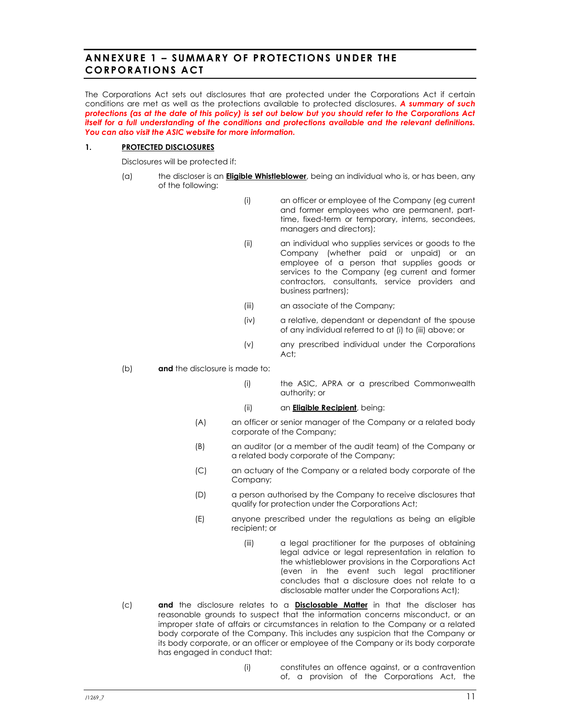# ANNEXURE 1 - SUMMARY OF PROTECTIONS UNDER THE **CORPORATIONS ACT**

The Corporations Act sets out disclosures that are protected under the Corporations Act if certain conditions are met as well as the protections available to protected disclosures. A summary of such protections (as at the date of this policy) is set out below but you should refer to the Corporations Act itself for a full understanding of the conditions and protections available and the relevant definitions. You can also visit the ASIC website for more information.

#### 1. PROTECTED DISCLOSURES

Disclosures will be protected if:

- (a) the discloser is an **Eligible Whistleblower**, being an individual who is, or has been, any of the following:
	- (i) an officer or employee of the Company (eg current and former employees who are permanent, parttime, fixed-term or temporary, interns, secondees, managers and directors);
	- (ii) an individual who supplies services or goods to the Company (whether paid or unpaid) or an employee of a person that supplies goods or services to the Company (eg current and former contractors, consultants, service providers and business partners);
	- (iii) an associate of the Company;
	- (iv) a relative, dependant or dependant of the spouse of any individual referred to at (i) to (iii) above; or
	- (v) any prescribed individual under the Corporations Act;
- (b) **and** the disclosure is made to:
	- (i) the ASIC, APRA or a prescribed Commonwealth authority; or
	- (ii) an **Eligible Recipient**, being:
	- (A) an officer or senior manager of the Company or a related body corporate of the Company;
	- (B) an auditor (or a member of the audit team) of the Company or a related body corporate of the Company;
	- (C) an actuary of the Company or a related body corporate of the Company;
	- (D) a person authorised by the Company to receive disclosures that qualify for protection under the Corporations Act;
	- (E) anyone prescribed under the regulations as being an eligible recipient; or
		- (iii) a legal practitioner for the purposes of obtaining legal advice or legal representation in relation to the whistleblower provisions in the Corporations Act (even in the event such legal practitioner concludes that a disclosure does not relate to a disclosable matter under the Corporations Act);
- (c) and the disclosure relates to a **Disclosable Matter** in that the discloser has reasonable grounds to suspect that the information concerns misconduct, or an improper state of affairs or circumstances in relation to the Company or a related body corporate of the Company. This includes any suspicion that the Company or its body corporate, or an officer or employee of the Company or its body corporate has engaged in conduct that:
	- (i) constitutes an offence against, or a contravention of, a provision of the Corporations Act, the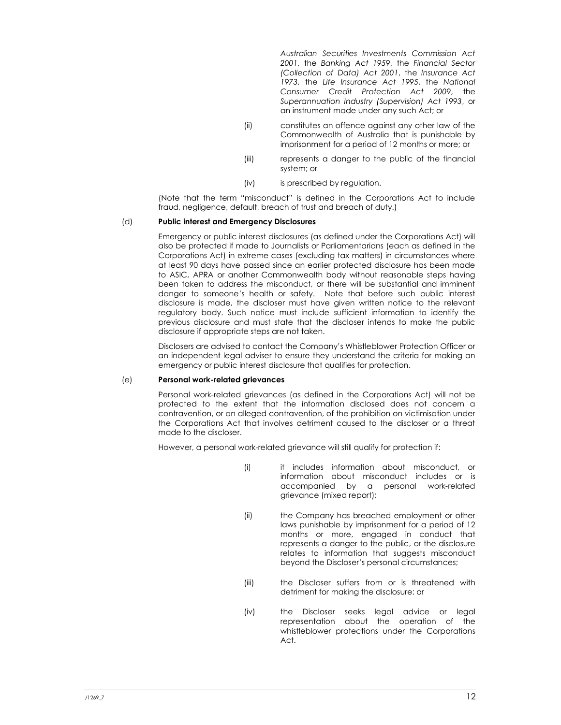Australian Securities Investments Commission Act 2001, the Banking Act 1959, the Financial Sector (Collection of Data) Act 2001, the Insurance Act 1973, the Life Insurance Act 1995, the National Consumer Credit Protection Act 2009, the Superannuation Industry (Supervision) Act 1993, or an instrument made under any such Act; or

- (ii) constitutes an offence against any other law of the Commonwealth of Australia that is punishable by imprisonment for a period of 12 months or more; or
- (iii) represents a danger to the public of the financial system; or
- (iv) is prescribed by regulation.

(Note that the term "misconduct" is defined in the Corporations Act to include fraud, negligence, default, breach of trust and breach of duty.)

#### (d) Public interest and Emergency Disclosures

Emergency or public interest disclosures (as defined under the Corporations Act) will also be protected if made to Journalists or Parliamentarians (each as defined in the Corporations Act) in extreme cases (excluding tax matters) in circumstances where at least 90 days have passed since an earlier protected disclosure has been made to ASIC, APRA or another Commonwealth body without reasonable steps having been taken to address the misconduct, or there will be substantial and imminent danger to someone's health or safety. Note that before such public interest disclosure is made, the discloser must have given written notice to the relevant regulatory body. Such notice must include sufficient information to identify the previous disclosure and must state that the discloser intends to make the public disclosure if appropriate steps are not taken.

Disclosers are advised to contact the Company's Whistleblower Protection Officer or an independent legal adviser to ensure they understand the criteria for making an emergency or public interest disclosure that qualifies for protection.

#### (e) Personal work-related grievances

Personal work-related grievances (as defined in the Corporations Act) will not be protected to the extent that the information disclosed does not concern a contravention, or an alleged contravention, of the prohibition on victimisation under the Corporations Act that involves detriment caused to the discloser or a threat made to the discloser.

However, a personal work-related grievance will still qualify for protection if:

- (i) it includes information about misconduct, or information about misconduct includes or is accompanied by a personal work-related grievance (mixed report);
- (ii) the Company has breached employment or other laws punishable by imprisonment for a period of 12 months or more, engaged in conduct that represents a danger to the public, or the disclosure relates to information that suggests misconduct beyond the Discloser's personal circumstances;
- (iii) the Discloser suffers from or is threatened with detriment for making the disclosure; or
- (iv) the Discloser seeks legal advice or legal representation about the operation of the whistleblower protections under the Corporations Act.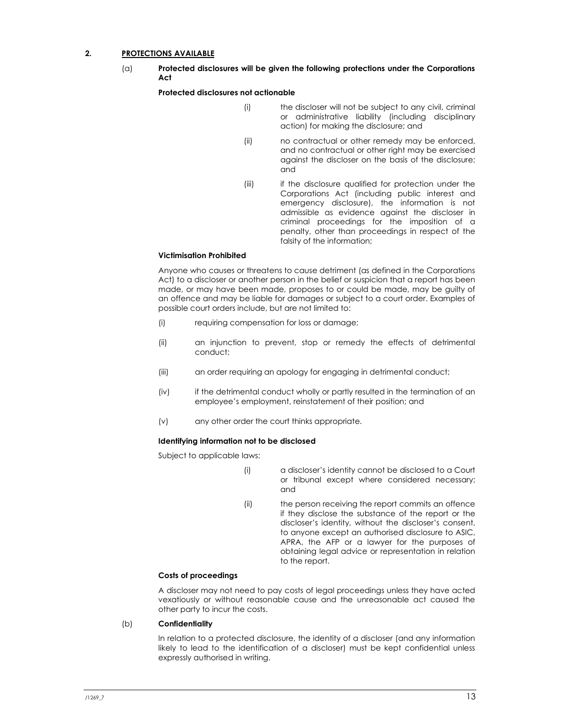#### 2. PROTECTIONS AVAILABLE

(a) Protected disclosures will be given the following protections under the Corporations Act

#### Protected disclosures not actionable

- (i) the discloser will not be subject to any civil, criminal or administrative liability (including disciplinary action) for making the disclosure; and
- (ii) no contractual or other remedy may be enforced, and no contractual or other right may be exercised against the discloser on the basis of the disclosure; and
- (iii) if the disclosure qualified for protection under the Corporations Act (including public interest and emergency disclosure), the information is not admissible as evidence against the discloser in criminal proceedings for the imposition of a penalty, other than proceedings in respect of the falsity of the information;

#### Victimisation Prohibited

Anyone who causes or threatens to cause detriment (as defined in the Corporations Act) to a discloser or another person in the belief or suspicion that a report has been made, or may have been made, proposes to or could be made, may be guilty of an offence and may be liable for damages or subject to a court order. Examples of possible court orders include, but are not limited to:

- (i) requiring compensation for loss or damage;
- (ii) an injunction to prevent, stop or remedy the effects of detrimental conduct;
- (iii) an order requiring an apology for engaging in detrimental conduct;
- (iv) if the detrimental conduct wholly or partly resulted in the termination of an employee's employment, reinstatement of their position; and
- (v) any other order the court thinks appropriate.

#### Identifying information not to be disclosed

Subject to applicable laws:

- (i) a discloser's identity cannot be disclosed to a Court or tribunal except where considered necessary; and
- (ii) the person receiving the report commits an offence if they disclose the substance of the report or the discloser's identity, without the discloser's consent, to anyone except an authorised disclosure to ASIC, APRA, the AFP or a lawyer for the purposes of obtaining legal advice or representation in relation to the report.

#### Costs of proceedings

A discloser may not need to pay costs of legal proceedings unless they have acted vexatiously or without reasonable cause and the unreasonable act caused the other party to incur the costs.

#### (b) Confidentiality

In relation to a protected disclosure, the identity of a discloser (and any information likely to lead to the identification of a discloser) must be kept confidential unless expressly authorised in writing.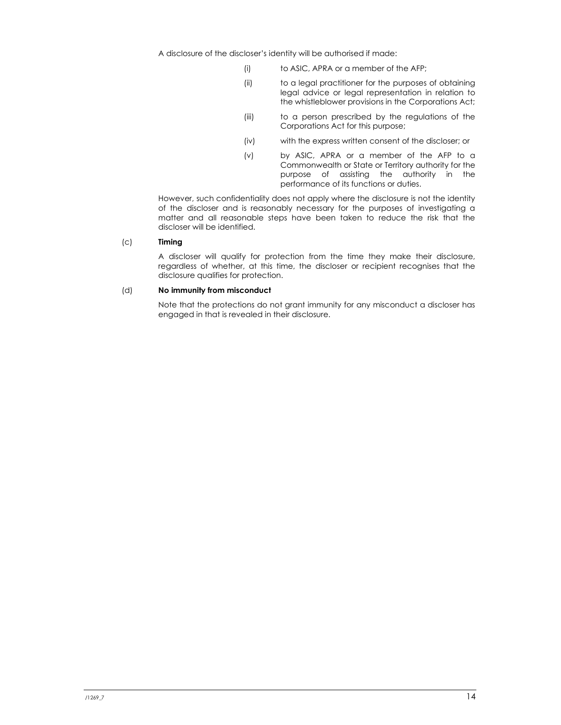A disclosure of the discloser's identity will be authorised if made:

- (i) to ASIC, APRA or a member of the AFP;
- (ii) to a legal practitioner for the purposes of obtaining legal advice or legal representation in relation to the whistleblower provisions in the Corporations Act;
- (iii) to a person prescribed by the regulations of the Corporations Act for this purpose;
- (iv) with the express written consent of the discloser; or
- (v) by ASIC, APRA or a member of the AFP to a Commonwealth or State or Territory authority for the purpose of assisting the authority in the performance of its functions or duties.

However, such confidentiality does not apply where the disclosure is not the identity of the discloser and is reasonably necessary for the purposes of investigating a matter and all reasonable steps have been taken to reduce the risk that the discloser will be identified.

#### (c) Timing

A discloser will qualify for protection from the time they make their disclosure, regardless of whether, at this time, the discloser or recipient recognises that the disclosure qualifies for protection.

#### (d) No immunity from misconduct

Note that the protections do not grant immunity for any misconduct a discloser has engaged in that is revealed in their disclosure.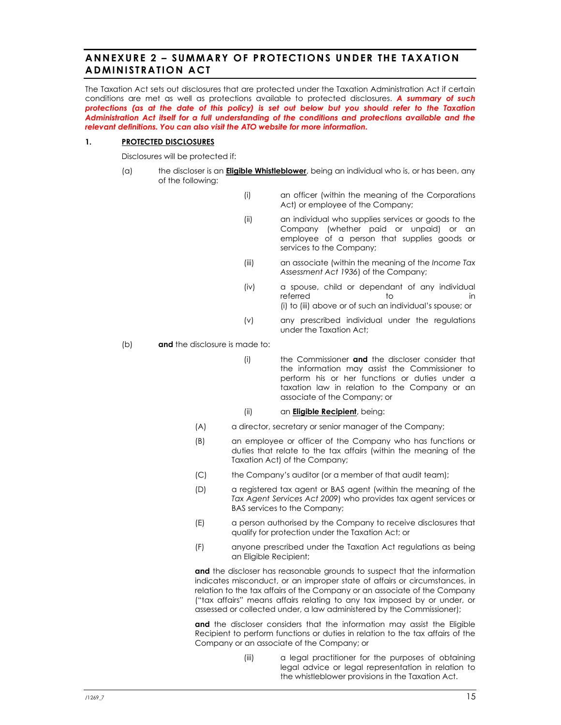# ANNEXURE 2 - SUMMARY OF PROTECTIONS UNDER THE TAXATION ADMINISTRATION ACT

The Taxation Act sets out disclosures that are protected under the Taxation Administration Act if certain conditions are met as well as protections available to protected disclosures. A summary of such protections (as at the date of this policy) is set out below but you should refer to the Taxation Administration Act itself for a full understanding of the conditions and protections available and the relevant definitions. You can also visit the ATO website for more information.

#### 1. PROTECTED DISCLOSURES

Disclosures will be protected if:

- (a) the discloser is an **Eligible Whistleblower**, being an individual who is, or has been, any of the following:
	- (i) an officer (within the meaning of the Corporations Act) or employee of the Company;
	- (ii) an individual who supplies services or goods to the Company (whether paid or unpaid) or an employee of a person that supplies goods or services to the Company;
	- (iii) an associate (within the meaning of the Income Tax Assessment Act 1936) of the Company;
	- (iv) a spouse, child or dependant of any individual referred to to in (i) to (iii) above or of such an individual's spouse; or
	- (v) any prescribed individual under the regulations under the Taxation Act;

(b) **and** the disclosure is made to:

- (i) the Commissioner and the discloser consider that the information may assist the Commissioner to perform his or her functions or duties under a taxation law in relation to the Company or an associate of the Company; or
- (ii) an **Eligible Recipient**, being:
- (A) a director, secretary or senior manager of the Company;
- (B) an employee or officer of the Company who has functions or duties that relate to the tax affairs (within the meaning of the Taxation Act) of the Company;
- (C) the Company's auditor (or a member of that audit team);
- (D) a registered tax agent or BAS agent (within the meaning of the Tax Agent Services Act 2009) who provides tax agent services or BAS services to the Company;
- (E) a person authorised by the Company to receive disclosures that qualify for protection under the Taxation Act; or
- (F) anyone prescribed under the Taxation Act regulations as being an Eligible Recipient;

and the discloser has reasonable grounds to suspect that the information indicates misconduct, or an improper state of affairs or circumstances, in relation to the tax affairs of the Company or an associate of the Company ("tax affairs" means affairs relating to any tax imposed by or under, or assessed or collected under, a law administered by the Commissioner);

and the discloser considers that the information may assist the Eligible Recipient to perform functions or duties in relation to the tax affairs of the Company or an associate of the Company; or

> (iii) a legal practitioner for the purposes of obtaining legal advice or legal representation in relation to the whistleblower provisions in the Taxation Act.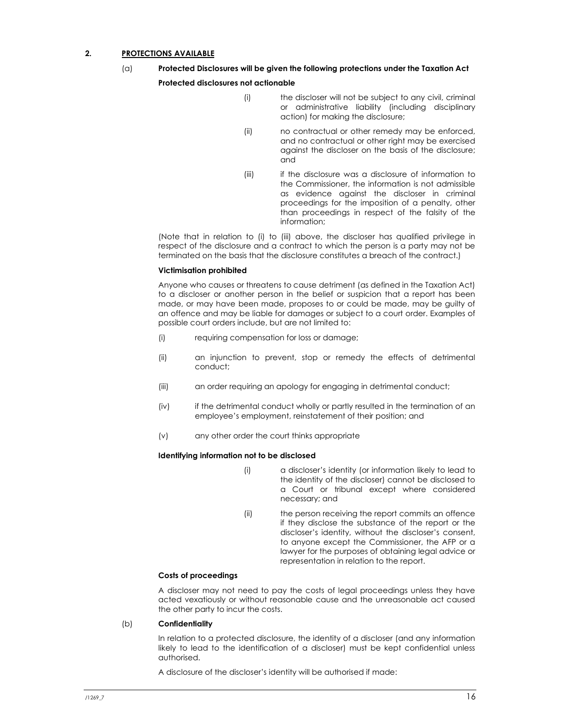#### 2. PROTECTIONS AVAILABLE

- (a) Protected Disclosures will be given the following protections under the Taxation Act Protected disclosures not actionable
	- (i) the discloser will not be subject to any civil, criminal or administrative liability (including disciplinary action) for making the disclosure;
	- (ii) no contractual or other remedy may be enforced, and no contractual or other right may be exercised against the discloser on the basis of the disclosure; and
	- (iii) if the disclosure was a disclosure of information to the Commissioner, the information is not admissible as evidence against the discloser in criminal proceedings for the imposition of a penalty, other than proceedings in respect of the falsity of the information;

(Note that in relation to (i) to (iii) above, the discloser has qualified privilege in respect of the disclosure and a contract to which the person is a party may not be terminated on the basis that the disclosure constitutes a breach of the contract.)

#### Victimisation prohibited

Anyone who causes or threatens to cause detriment (as defined in the Taxation Act) to a discloser or another person in the belief or suspicion that a report has been made, or may have been made, proposes to or could be made, may be guilty of an offence and may be liable for damages or subject to a court order. Examples of possible court orders include, but are not limited to:

- (i) requiring compensation for loss or damage;
- (ii) an injunction to prevent, stop or remedy the effects of detrimental conduct;
- (iii) an order requiring an apology for engaging in detrimental conduct;
- (iv) if the detrimental conduct wholly or partly resulted in the termination of an employee's employment, reinstatement of their position; and
- (v) any other order the court thinks appropriate

#### Identifying information not to be disclosed

- (i) a discloser's identity (or information likely to lead to the identity of the discloser) cannot be disclosed to a Court or tribunal except where considered necessary; and
- (ii) the person receiving the report commits an offence if they disclose the substance of the report or the discloser's identity, without the discloser's consent, to anyone except the Commissioner, the AFP or a lawyer for the purposes of obtaining legal advice or representation in relation to the report.

#### Costs of proceedings

A discloser may not need to pay the costs of legal proceedings unless they have acted vexatiously or without reasonable cause and the unreasonable act caused the other party to incur the costs.

#### (b) Confidentiality

In relation to a protected disclosure, the identity of a discloser (and any information likely to lead to the identification of a discloser) must be kept confidential unless authorised.

A disclosure of the discloser's identity will be authorised if made: